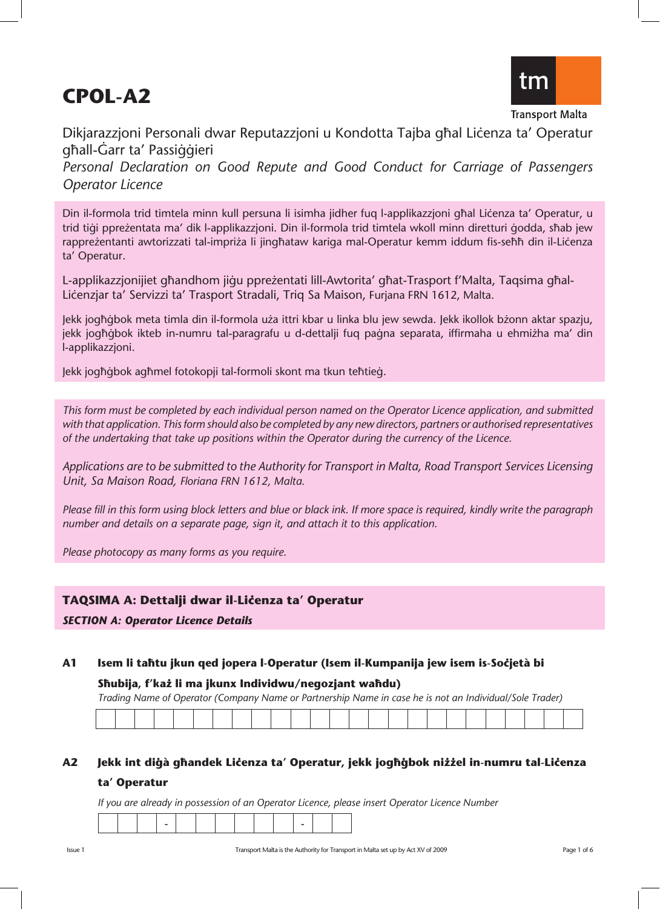# **CPOL-A2**



**Transport Malta** 

Dikjarazzjoni Personali dwar Reputazzjoni u Kondotta Tajba għal Lićenza ta' Operatur ghall-Garr ta' Passiggieri *Personal Declaration on Good Repute and Good Conduct for Carriage of Passengers Operator Licence*

Din il-formola trid timtela minn kull persuna li isimha jidher fuq l-applikazzioni għal Liċenza ta' Operatur, u trid tigi ppreżentata ma' dik l-applikazzjoni. Din il-formola trid timtela wkoll minn diretturi godda, sħab jew rappreżentanti awtorizzati tal-impriża li jingħataw kariga mal-Operatur kemm iddum fis-seħħ din il-Liċenza ta' Operatur.

L-applikazzjonijiet għandhom jiġu ppreżentati lill-Awtorita' għat-Trasport f'Malta, Taqsima għal-Liçenzjar ta' Servizzi ta' Trasport Stradali, Triq Sa Maison, Furjana FRN 1612, Malta.

Jekk jogħġbok meta timla din il-formola uża ittri kbar u linka blu jew sewda. Jekk ikollok bżonn aktar spazju, jekk jogħġbok ikteb in-numru tal-paragrafu u d-dettalji fuq paġna separata, iffirmaha u ehmiżha ma' din l-applikazzjoni.

Jekk jogħġbok agħmel fotokopji tal-formoli skont ma tkun teħtieġ.

*This form must be completed by each individual person named on the Operator Licence application, and submitted with that application. This form should also be completed by any new directors, partners or authorised representatives of the undertaking that take up positions within the Operator during the currency of the Licence.*

*Applications are to be submitted to the Authority for Transport in Malta, Road Transport Services Licensing Unit, Sa Maison Road, Floriana FRN 1612, Malta.* 

*Please fill in this form using block letters and blue or black ink. If more space is required, kindly write the paragraph number and details on a separate page, sign it, and attach it to this application.* 

*Please photocopy as many forms as you require.* 

# **TAQSIMA A: Dettalji dwar il-Liçenza ta' Operatur**

## *SECTION A: Operator Licence Details*

**A1 Isem li ta˙tu jkun qed jopera l-Operatur (Isem il-Kumpanija jew isem is-Soçjetà bi**

### **S˙ubija, f'kaΩ li ma jkunx Individwu/negozjant wa˙du)**

*Trading Name of Operator (Company Name or Partnership Name in case he is not an Individual/Sole Trader)*

# **A2 Jekk int di©à g˙andek Liçenza ta' Operatur, jekk jog˙©bok niΩΩel in-numru tal-Liçenza ta' Operatur**

*If you are already in possession of an Operator Licence, please insert Operator Licence Number*

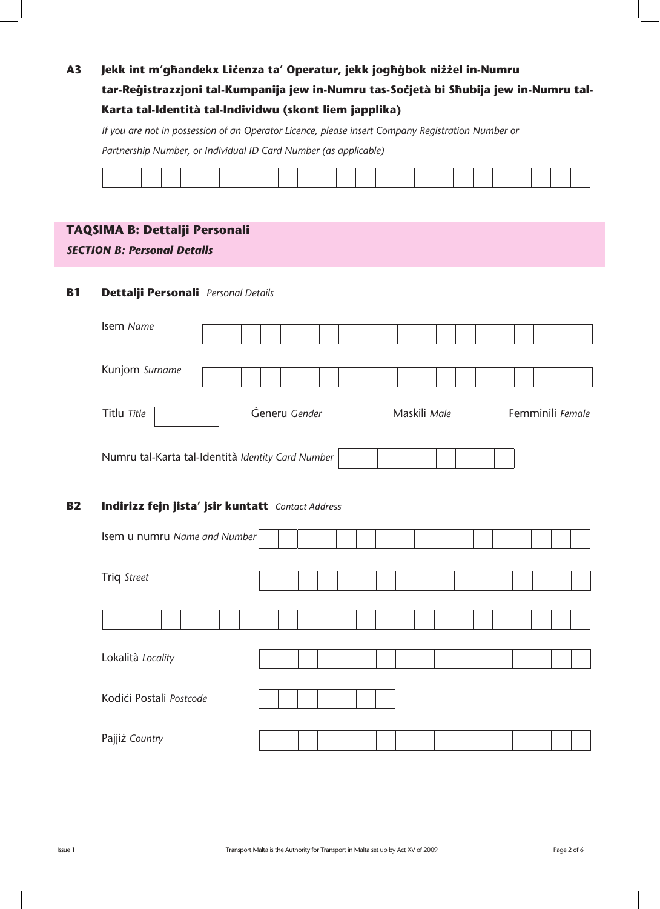# $A3$ Jekk int m'ghandekx Lićenza ta' Operatur, jekk joghġbok niżżel in-Numru tar-Reģistrazzjoni tal-Kumpanija jew in-Numru tas-Soċjetà bi Sħubija jew in-Numru tal-Karta tal-Identità tal-Individwu (skont liem japplika)

If you are not in possession of an Operator Licence, please insert Company Registration Number or

Partnership Number, or Individual ID Card Number (as applicable)

|                                                                                                                 |  |  |  |  |  |  |  |  | the control of the control of the control of the control of the control of the control of the control of the control of the control of the control of the control of the control of the control of the control of the control |  | _______ |                                                 |
|-----------------------------------------------------------------------------------------------------------------|--|--|--|--|--|--|--|--|-------------------------------------------------------------------------------------------------------------------------------------------------------------------------------------------------------------------------------|--|---------|-------------------------------------------------|
| the contract of the contract of the contract of the contract of the contract of the contract of the contract of |  |  |  |  |  |  |  |  |                                                                                                                                                                                                                               |  |         | the contract of the contract of the contract of |
|                                                                                                                 |  |  |  |  |  |  |  |  |                                                                                                                                                                                                                               |  |         |                                                 |
|                                                                                                                 |  |  |  |  |  |  |  |  |                                                                                                                                                                                                                               |  |         |                                                 |
|                                                                                                                 |  |  |  |  |  |  |  |  |                                                                                                                                                                                                                               |  |         |                                                 |
|                                                                                                                 |  |  |  |  |  |  |  |  |                                                                                                                                                                                                                               |  |         |                                                 |
|                                                                                                                 |  |  |  |  |  |  |  |  |                                                                                                                                                                                                                               |  |         |                                                 |
|                                                                                                                 |  |  |  |  |  |  |  |  |                                                                                                                                                                                                                               |  |         |                                                 |
|                                                                                                                 |  |  |  |  |  |  |  |  |                                                                                                                                                                                                                               |  |         |                                                 |
|                                                                                                                 |  |  |  |  |  |  |  |  |                                                                                                                                                                                                                               |  |         |                                                 |
|                                                                                                                 |  |  |  |  |  |  |  |  |                                                                                                                                                                                                                               |  |         |                                                 |

# TAQSIMA B: Dettalji Personali

**SECTION B: Personal Details** 

#### **B1** Dettalji Personali Personal Details

| Isem Name                                         |  |               |  |  |  |              |  |  |  |  |                  |
|---------------------------------------------------|--|---------------|--|--|--|--------------|--|--|--|--|------------------|
| Kunjom Surname                                    |  |               |  |  |  |              |  |  |  |  |                  |
| Titlu Title                                       |  | Generu Gender |  |  |  | Maskili Male |  |  |  |  | Femminili Female |
| Numru tal-Karta tal-Identità Identity Card Number |  |               |  |  |  |              |  |  |  |  |                  |

#### Indirizz fejn jista' jsir kuntatt Contact Address **B2**

| Isem u numru Name and Number |  |  |  |  |  |  |  |  |  |
|------------------------------|--|--|--|--|--|--|--|--|--|
|                              |  |  |  |  |  |  |  |  |  |
| Triq Street                  |  |  |  |  |  |  |  |  |  |
|                              |  |  |  |  |  |  |  |  |  |
|                              |  |  |  |  |  |  |  |  |  |
|                              |  |  |  |  |  |  |  |  |  |
| Lokalità Locality            |  |  |  |  |  |  |  |  |  |
|                              |  |  |  |  |  |  |  |  |  |
| Kodići Postali Postcode      |  |  |  |  |  |  |  |  |  |
|                              |  |  |  |  |  |  |  |  |  |
| Pajjiż Country               |  |  |  |  |  |  |  |  |  |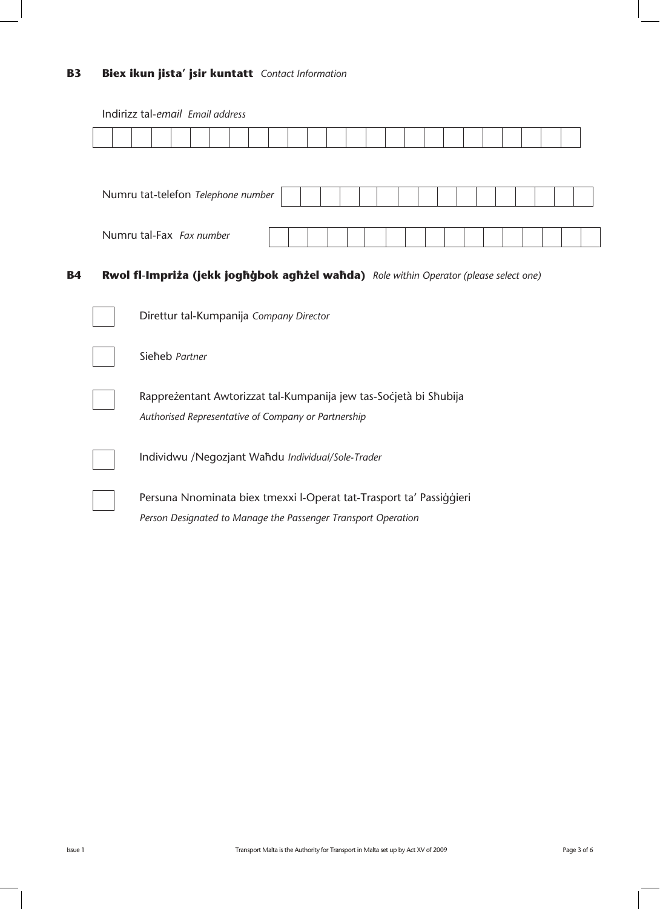# **B3 Biex ikun jista' jsir kuntatt** *Contact Information*

| Indirizz tai-email Email dagress                                                      |  |  |  |  |  |  |  |  |  |  |
|---------------------------------------------------------------------------------------|--|--|--|--|--|--|--|--|--|--|
|                                                                                       |  |  |  |  |  |  |  |  |  |  |
|                                                                                       |  |  |  |  |  |  |  |  |  |  |
|                                                                                       |  |  |  |  |  |  |  |  |  |  |
| Numru tat-telefon Telephone number                                                    |  |  |  |  |  |  |  |  |  |  |
|                                                                                       |  |  |  |  |  |  |  |  |  |  |
| Numru tal-Fax Fax number                                                              |  |  |  |  |  |  |  |  |  |  |
|                                                                                       |  |  |  |  |  |  |  |  |  |  |
|                                                                                       |  |  |  |  |  |  |  |  |  |  |
| Rwol fl-Impriża (jekk joghġbok aghżel wahda) Role within Operator (please select one) |  |  |  |  |  |  |  |  |  |  |
|                                                                                       |  |  |  |  |  |  |  |  |  |  |
| Direttur tal-Kumpanija Company Director                                               |  |  |  |  |  |  |  |  |  |  |
|                                                                                       |  |  |  |  |  |  |  |  |  |  |
| Sieheb Partner                                                                        |  |  |  |  |  |  |  |  |  |  |
|                                                                                       |  |  |  |  |  |  |  |  |  |  |
| Rappreżentant Awtorizzat tal-Kumpanija jew tas-Socjetà bi Shubija                     |  |  |  |  |  |  |  |  |  |  |
| Authorised Representative of Company or Partnership                                   |  |  |  |  |  |  |  |  |  |  |
|                                                                                       |  |  |  |  |  |  |  |  |  |  |
|                                                                                       |  |  |  |  |  |  |  |  |  |  |
| Individwu /Negozjant Wahdu Individual/Sole-Trader                                     |  |  |  |  |  |  |  |  |  |  |
|                                                                                       |  |  |  |  |  |  |  |  |  |  |
| Persuna Nnominata biex tmexxi l-Operat tat-Trasport ta' Passiggieri                   |  |  |  |  |  |  |  |  |  |  |
| Person Designated to Manage the Passenger Transport Operation                         |  |  |  |  |  |  |  |  |  |  |

Indirizz tal-*email Email address*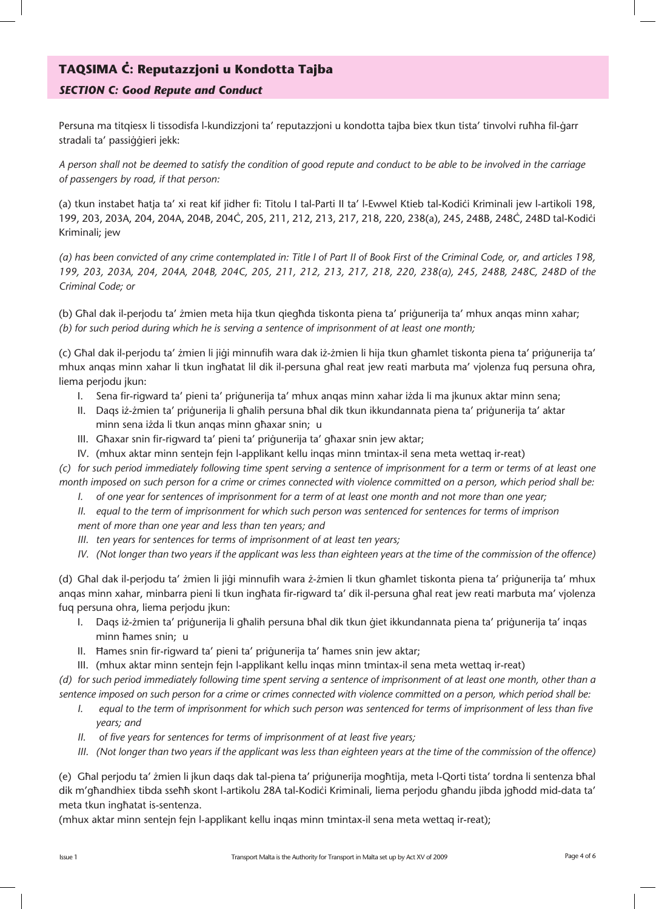# **TAQSIMA Ç: Reputazzjoni u Kondotta Tajba**

# *SECTION C: Good Repute and Conduct*

Persuna ma titgiesx li tissodisfa l-kundizzjoni ta' reputazzjoni u kondotta tajba biex tkun tista' tinvolvi ruħha fil-ġarr stradali ta' passiqqieri jekk:

*A person shall not be deemed to satisfy the condition of good repute and conduct to be able to be involved in the carriage of passengers by road, if that person:*

(a) tkun instabet ħatja ta' xi reat kif jidher fi: Titolu I tal-Parti II ta' l-Ewwel Ktieb tal-Kodici Kriminali jew l-artikoli 198, 199, 203, 203A, 204, 204A, 204B, 204Ç, 205, 211, 212, 213, 217, 218, 220, 238(a), 245, 248B, 248Ç, 248D tal-Kodiçi Kriminali; jew

*(a) has been convicted of any crime contemplated in: Title I of Part II of Book First of the Criminal Code, or, and articles 198, 199, 203, 203A, 204, 204A, 204B, 204C, 205, 211, 212, 213, 217, 218, 220, 238(a), 245, 248B, 248C, 248D of the Criminal Code; or*

(b) Għal dak il-perjodu ta' żmien meta hija tkun qiegħda tiskonta piena ta' priġunerija ta' mhux anqas minn xahar; *(b) for such period during which he is serving a sentence of imprisonment of at least one month;*

(c) Għal dak il-perjodu ta' żmien li jiġi minnufih wara dak iż-żmien li hija tkun għamlet tiskonta piena ta' priġunerija ta' mhux anqas minn xahar li tkun ingħatat lil dik il-persuna għal reat jew reati marbuta ma' vjolenza fuq persuna oħra, liema perjodu jkun:

- I. Sena fir-rigward ta' pieni ta' priġunerija ta' mhux anqas minn xahar iżda li ma jkunux aktar minn sena;
- II. Daqs iż-żmien ta' priġunerija li għalih persuna bħal dik tkun ikkundannata piena ta' priġunerija ta' aktar minn sena iżda li tkun anqas minn għaxar snin; u
- III. Ghaxar snin fir-rigward ta' pieni ta' prigunerija ta' ghaxar snin jew aktar;
- IV. (mhux aktar minn sentejn fejn l-applikant kellu inqas minn tmintax-il sena meta wettaq ir-reat)

*(c) for such period immediately following time spent serving a sentence of imprisonment for a term or terms of at least one month imposed on such person for a crime or crimes connected with violence committed on a person, which period shall be:* 

*I. of one year for sentences of imprisonment for a term of at least one month and not more than one year;* 

*II. equal to the term of imprisonment for which such person was sentenced for sentences for terms of imprison ment of more than one year and less than ten years; and* 

*III. ten years for sentences for terms of imprisonment of at least ten years;*

*IV. (Not longer than two years if the applicant was less than eighteen years at the time of the commission of the offence)*

(d) Għal dak il-perjodu ta' żmien li jiġi minnufih wara ż-żmien li tkun għamlet tiskonta piena ta' priġunerija ta' mhux anqas minn xahar, minbarra pieni li tkun ingħata fir-rigward ta' dik il-persuna għal reat jew reati marbuta ma' vjolenza fuq persuna ohra, liema perjodu jkun:

- I. Daqs iż-żmien ta' priġunerija li għalih persuna bħal dik tkun ġiet ikkundannata piena ta' priġunerija ta' inqas minn hames snin; u
- II. Hames snin fir-rigward ta' pieni ta' prigunerija ta' fames snin jew aktar;
- III. (mhux aktar minn sentejn fejn l-applikant kellu inqas minn tmintax-il sena meta wettaq ir-reat)

*(d) for such period immediately following time spent serving a sentence of imprisonment of at least one month, other than a sentence imposed on such person for a crime or crimes connected with violence committed on a person, which period shall be:* 

- *I. equal to the term of imprisonment for which such person was sentenced for terms of imprisonment of less than five years; and*
- *II. of five years for sentences for terms of imprisonment of at least five years;*
- *III. (Not longer than two years if the applicant was less than eighteen years at the time of the commission of the offence)*

(e) Għal perjodu ta' żmien li jkun daqs dak tal-piena ta' priġunerija mogħtija, meta l-Qorti tista' tordna li sentenza bħal dik m'għandhiex tibda sseħħ skont l-artikolu 28A tal-Kodići Kriminali, liema perjodu għandu jibda jgħodd mid-data ta' meta tkun ingħatat is-sentenza.

(mhux aktar minn sentejn fejn l-applikant kellu inqas minn tmintax-il sena meta wettaq ir-reat);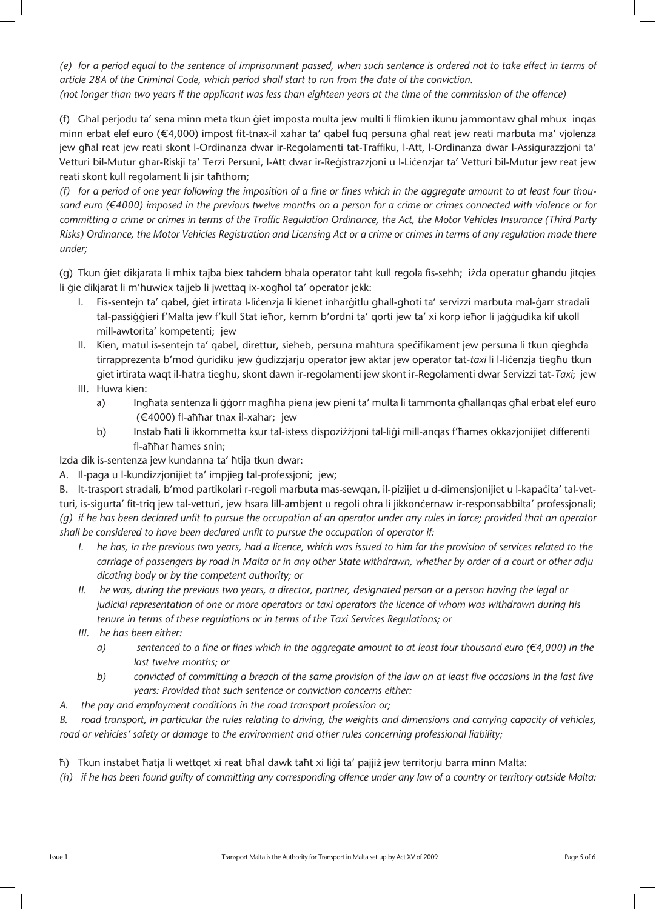*(e) for a period equal to the sentence of imprisonment passed, when such sentence is ordered not to take effect in terms of article 28A of the Criminal Code, which period shall start to run from the date of the conviction. (not longer than two years if the applicant was less than eighteen years at the time of the commission of the offence)*

(f) Għal perjodu ta' sena minn meta tkun ġiet imposta multa jew multi li flimkien ikunu jammontaw għal mhux inqas minn erbat elef euro ( $\epsilon$ 4,000) impost fit-tnax-il xahar ta' qabel fuq persuna għal reat jew reati marbuta ma' vjolenza jew għal reat jew reati skont l-Ordinanza dwar ir-Regolamenti tat-Traffiku, l-Att, l-Ordinanza dwar l-Assigurazzjoni ta' Vetturi bil-Mutur għar-Riskji ta' Terzi Persuni, l-Att dwar ir-Reġistrazzjoni u l-Liċenzjar ta' Vetturi bil-Mutur jew reat jew reati skont kull regolament li jsir taħthom;

*(f) for a period of one year following the imposition of a fine or fines which in the aggregate amount to at least four thou*sand euro (€4000) imposed in the previous twelve months on a person for a crime or crimes connected with violence or for *committing a crime or crimes in terms of the Traffic Regulation Ordinance, the Act, the Motor Vehicles Insurance (Third Party Risks) Ordinance, the Motor Vehicles Registration and Licensing Act or a crime or crimes in terms of any regulation made there under;*

(g) Tkun ġiet dikjarata li mhix tajba biex taħdem bħala operator taħt kull regola fis-seħħ; iżda operatur għandu jitqies li gie dikjarat li m'huwiex tajjeb li jwettaq ix-xogħol ta' operator jekk:

- I. Fis-sentejn ta' qabel, giet irtirata l-licenzja li kienet inħarġitlu għall-għoti ta' servizzi marbuta mal-ġarr stradali tal-passiġġieri f'Malta jew f'kull Stat ieħor, kemm b'ordni ta' qorti jew ta' xi korp ieħor li jaġġudika kif ukoll mill-awtorita' kompetenti; jew
- II. Kien, matul is-sentejn ta' qabel, direttur, sieħeb, persuna maħtura speċifikament jew persuna li tkun qiegħda tirrapprezenta b'mod quridiku jew qudizzjarju operator jew aktar jew operator tat-*taxi* li l-licenzja tiegħu tkun giet irtirata waqt il-ħatra tiegħu, skont dawn ir-regolamenti jew skont ir-Regolamenti dwar Servizzi tat-*Taxi*; jew
- III. Huwa kien:
	- a) Ingħata sentenza li ġġorr magħha piena jew pieni ta' multa li tammonta għallanqas għal erbat elef euro (€4000) fl-aħħar tnax il-xahar; jew
	- b) Instab ħati li ikkommetta ksur tal-istess dispoziżżjoni tal-liġi mill-anqas f'ħames okkazjonijiet differenti fl-aħħar ħames snin;

Izda dik is-sentenza jew kundanna ta' ħtija tkun dwar:

A. Il-paga u l-kundizzjonijiet ta' impjieg tal-professjoni; jew;

B. It-trasport stradali, b'mod partikolari r-regoli marbuta mas-sewqan, il-pizijiet u d-dimensjonijiet u l-kapaçita' tal-vetturi, is-sigurta' fit-triq jew tal-vetturi, jew ħsara lill-ambjent u regoli oħra li jikkonċernaw ir-responsabbilta' professjonali; *(g) if he has been declared unfit to pursue the occupation of an operator under any rules in force; provided that an operator shall be considered to have been declared unfit to pursue the occupation of operator if:*

- *I.* he has, in the previous two years, had a licence, which was issued to him for the provision of services related to the  *carriage of passengers by road in Malta or in any other State withdrawn, whether by order of a court or other adju dicating body or by the competent authority; or*
- *II. he was, during the previous two years, a director, partner, designated person or a person having the legal or judicial representation of one or more operators or taxi operators the licence of whom was withdrawn during his tenure in terms of these regulations or in terms of the Taxi Services Regulations; or*
- *III. he has been either:* 
	- $a)$  sentenced to a fine or fines which in the aggregate amount to at least four thousand euro ( $\epsilon$ 4,000) in the  *last twelve months; or*
	- *b) convicted of committing a breach of the same provision of the law on at least five occasions in the last five years: Provided that such sentence or conviction concerns either:*
- *A. the pay and employment conditions in the road transport profession or;*

*B. road transport, in particular the rules relating to driving, the weights and dimensions and carrying capacity of vehicles, road or vehicles' safety or damage to the environment and other rules concerning professional liability;* 

- th) Tkun instabet ħatja li wettqet xi reat bħal dawk taħt xi liġi ta' pajjiż jew territorju barra minn Malta:
- *(h) if he has been found guilty of committing any corresponding offence under any law of a country or territory outside Malta:*